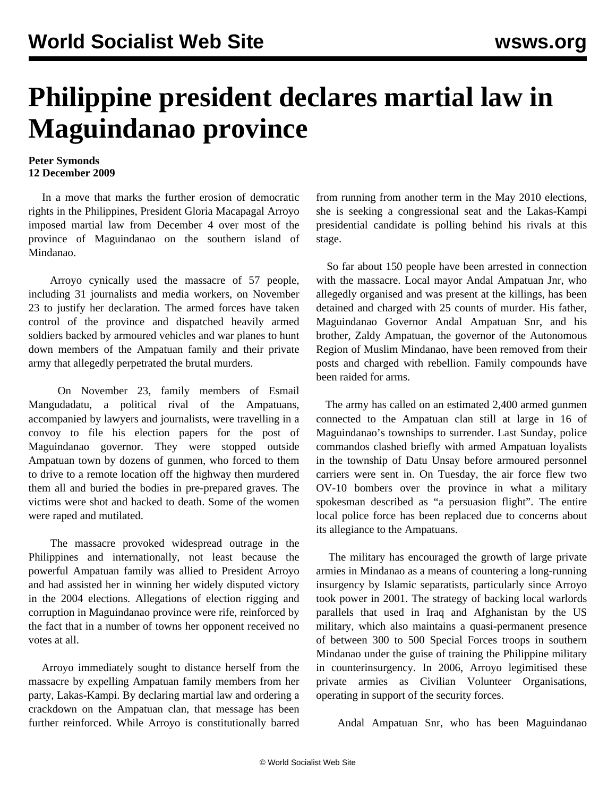## **Philippine president declares martial law in Maguindanao province**

## **Peter Symonds 12 December 2009**

 In a move that marks the further erosion of democratic rights in the Philippines, President Gloria Macapagal Arroyo imposed martial law from December 4 over most of the province of Maguindanao on the southern island of Mindanao.

 Arroyo cynically used the massacre of 57 people, including 31 journalists and media workers, on November 23 to justify her declaration. The armed forces have taken control of the province and dispatched heavily armed soldiers backed by armoured vehicles and war planes to hunt down members of the Ampatuan family and their private army that allegedly perpetrated the brutal murders.

 On November 23, family members of Esmail Mangudadatu, a political rival of the Ampatuans, accompanied by lawyers and journalists, were travelling in a convoy to file his election papers for the post of Maguindanao governor. They were stopped outside Ampatuan town by dozens of gunmen, who forced to them to drive to a remote location off the highway then murdered them all and buried the bodies in pre-prepared graves. The victims were shot and hacked to death. Some of the women were raped and mutilated.

 The massacre provoked widespread outrage in the Philippines and internationally, not least because the powerful Ampatuan family was allied to President Arroyo and had assisted her in winning her widely disputed victory in the 2004 elections. Allegations of election rigging and corruption in Maguindanao province were rife, reinforced by the fact that in a number of towns her opponent received no votes at all.

 Arroyo immediately sought to distance herself from the massacre by expelling Ampatuan family members from her party, Lakas-Kampi. By declaring martial law and ordering a crackdown on the Ampatuan clan, that message has been further reinforced. While Arroyo is constitutionally barred from running from another term in the May 2010 elections, she is seeking a congressional seat and the Lakas-Kampi presidential candidate is polling behind his rivals at this stage.

 So far about 150 people have been arrested in connection with the massacre. Local mayor Andal Ampatuan Jnr, who allegedly organised and was present at the killings, has been detained and charged with 25 counts of murder. His father, Maguindanao Governor Andal Ampatuan Snr, and his brother, Zaldy Ampatuan, the governor of the Autonomous Region of Muslim Mindanao, have been removed from their posts and charged with rebellion. Family compounds have been raided for arms.

 The army has called on an estimated 2,400 armed gunmen connected to the Ampatuan clan still at large in 16 of Maguindanao's townships to surrender. Last Sunday, police commandos clashed briefly with armed Ampatuan loyalists in the township of Datu Unsay before armoured personnel carriers were sent in. On Tuesday, the air force flew two OV-10 bombers over the province in what a military spokesman described as "a persuasion flight". The entire local police force has been replaced due to concerns about its allegiance to the Ampatuans.

 The military has encouraged the growth of large private armies in Mindanao as a means of countering a long-running insurgency by Islamic separatists, particularly since Arroyo took power in 2001. The strategy of backing local warlords parallels that used in Iraq and Afghanistan by the US military, which also maintains a quasi-permanent presence of between 300 to 500 Special Forces troops in southern Mindanao under the guise of training the Philippine military in counterinsurgency. In 2006, Arroyo legimitised these private armies as Civilian Volunteer Organisations, operating in support of the security forces.

Andal Ampatuan Snr, who has been Maguindanao